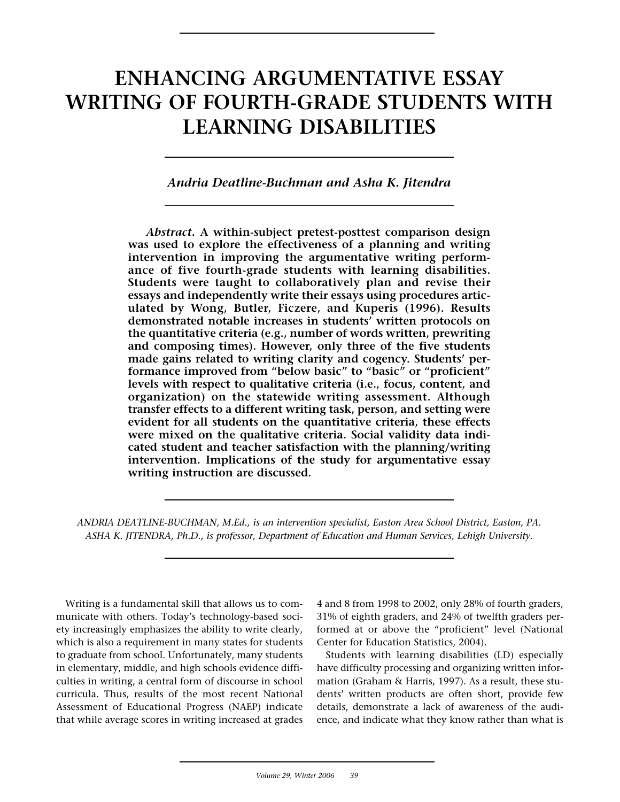# **ENHANCING ARGUMENTATIVE ESSAY WRITING OF FOURTH-GRADE STUDENTS WITH LEARNING DISABILITIES**

# *Andria Deatline-Buchman and Asha K. Jitendra*

*Abstract.* **A within-subject pretest-posttest comparison design was used to explore the effectiveness of a planning and writing intervention in improving the argumentative writing performance of five fourth-grade students with learning disabilities. Students were taught to collaboratively plan and revise their essays and independently write their essays using procedures articulated by Wong, Butler, Ficzere, and Kuperis (1996). Results demonstrated notable increases in students' written protocols on the quantitative criteria (e.g., number of words written, prewriting and composing times). However, only three of the five students made gains related to writing clarity and cogency. Students' performance improved from "below basic" to "basic" or "proficient" levels with respect to qualitative criteria (i.e., focus, content, and organization) on the statewide writing assessment. Although transfer effects to a different writing task, person, and setting were evident for all students on the quantitative criteria, these effects were mixed on the qualitative criteria. Social validity data indicated student and teacher satisfaction with the planning/writing intervention. Implications of the study for argumentative essay writing instruction are discussed.**

*ANDRIA DEATLINE-BUCHMAN, M.Ed., is an intervention specialist, Easton Area School District, Easton, PA. ASHA K. JITENDRA, Ph.D., is professor, Department of Education and Human Services, Lehigh University.*

Writing is a fundamental skill that allows us to communicate with others. Today's technology-based society increasingly emphasizes the ability to write clearly, which is also a requirement in many states for students to graduate from school. Unfortunately, many students in elementary, middle, and high schools evidence difficulties in writing, a central form of discourse in school curricula. Thus, results of the most recent National Assessment of Educational Progress (NAEP) indicate that while average scores in writing increased at grades 4 and 8 from 1998 to 2002, only 28% of fourth graders, 31% of eighth graders, and 24% of twelfth graders performed at or above the "proficient" level (National Center for Education Statistics, 2004).

Students with learning disabilities (LD) especially have difficulty processing and organizing written information (Graham & Harris, 1997). As a result, these students' written products are often short, provide few details, demonstrate a lack of awareness of the audience, and indicate what they know rather than what is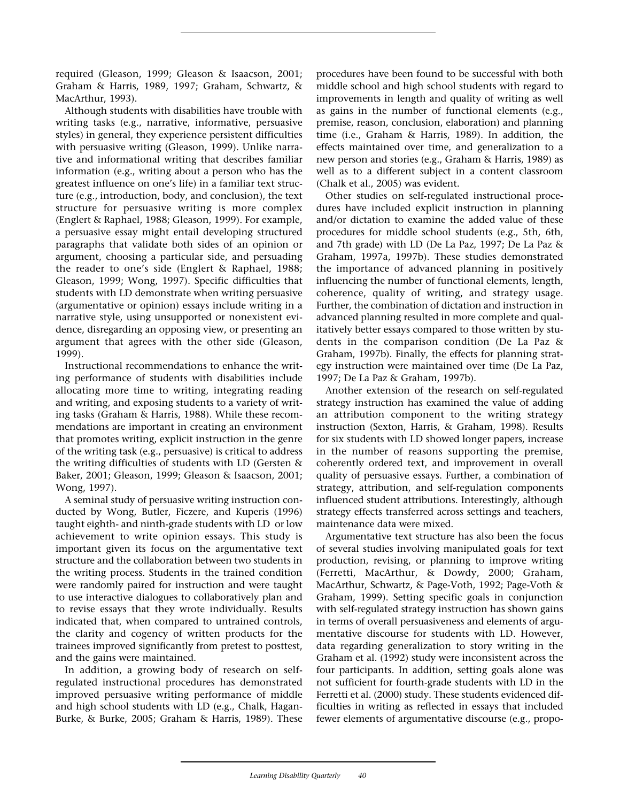required (Gleason, 1999; Gleason & Isaacson, 2001; Graham & Harris, 1989, 1997; Graham, Schwartz, & MacArthur, 1993).

Although students with disabilities have trouble with writing tasks (e.g., narrative, informative, persuasive styles) in general, they experience persistent difficulties with persuasive writing (Gleason, 1999). Unlike narrative and informational writing that describes familiar information (e.g., writing about a person who has the greatest influence on one's life) in a familiar text structure (e.g., introduction, body, and conclusion), the text structure for persuasive writing is more complex (Englert & Raphael, 1988; Gleason, 1999). For example, a persuasive essay might entail developing structured paragraphs that validate both sides of an opinion or argument, choosing a particular side, and persuading the reader to one's side (Englert & Raphael, 1988; Gleason, 1999; Wong, 1997). Specific difficulties that students with LD demonstrate when writing persuasive (argumentative or opinion) essays include writing in a narrative style, using unsupported or nonexistent evidence, disregarding an opposing view, or presenting an argument that agrees with the other side (Gleason, 1999).

Instructional recommendations to enhance the writing performance of students with disabilities include allocating more time to writing, integrating reading and writing, and exposing students to a variety of writing tasks (Graham & Harris, 1988). While these recommendations are important in creating an environment that promotes writing, explicit instruction in the genre of the writing task (e.g., persuasive) is critical to address the writing difficulties of students with LD (Gersten & Baker, 2001; Gleason, 1999; Gleason & Isaacson, 2001; Wong, 1997).

A seminal study of persuasive writing instruction conducted by Wong, Butler, Ficzere, and Kuperis (1996) taught eighth- and ninth-grade students with LD or low achievement to write opinion essays. This study is important given its focus on the argumentative text structure and the collaboration between two students in the writing process. Students in the trained condition were randomly paired for instruction and were taught to use interactive dialogues to collaboratively plan and to revise essays that they wrote individually. Results indicated that, when compared to untrained controls, the clarity and cogency of written products for the trainees improved significantly from pretest to posttest, and the gains were maintained.

In addition, a growing body of research on selfregulated instructional procedures has demonstrated improved persuasive writing performance of middle and high school students with LD (e.g., Chalk, Hagan-Burke, & Burke, 2005; Graham & Harris, 1989). These

procedures have been found to be successful with both middle school and high school students with regard to improvements in length and quality of writing as well as gains in the number of functional elements (e.g., premise, reason, conclusion, elaboration) and planning time (i.e., Graham & Harris, 1989). In addition, the effects maintained over time, and generalization to a new person and stories (e.g., Graham & Harris, 1989) as well as to a different subject in a content classroom (Chalk et al., 2005) was evident.

Other studies on self-regulated instructional procedures have included explicit instruction in planning and/or dictation to examine the added value of these procedures for middle school students (e.g., 5th, 6th, and 7th grade) with LD (De La Paz, 1997; De La Paz & Graham, 1997a, 1997b). These studies demonstrated the importance of advanced planning in positively influencing the number of functional elements, length, coherence, quality of writing, and strategy usage. Further, the combination of dictation and instruction in advanced planning resulted in more complete and qualitatively better essays compared to those written by students in the comparison condition (De La Paz & Graham, 1997b). Finally, the effects for planning strategy instruction were maintained over time (De La Paz, 1997; De La Paz & Graham, 1997b).

Another extension of the research on self-regulated strategy instruction has examined the value of adding an attribution component to the writing strategy instruction (Sexton, Harris, & Graham, 1998). Results for six students with LD showed longer papers, increase in the number of reasons supporting the premise, coherently ordered text, and improvement in overall quality of persuasive essays. Further, a combination of strategy, attribution, and self-regulation components influenced student attributions. Interestingly, although strategy effects transferred across settings and teachers, maintenance data were mixed.

Argumentative text structure has also been the focus of several studies involving manipulated goals for text production, revising, or planning to improve writing (Ferretti, MacArthur, & Dowdy, 2000; Graham, MacArthur, Schwartz, & Page-Voth, 1992; Page-Voth & Graham, 1999). Setting specific goals in conjunction with self-regulated strategy instruction has shown gains in terms of overall persuasiveness and elements of argumentative discourse for students with LD. However, data regarding generalization to story writing in the Graham et al. (1992) study were inconsistent across the four participants. In addition, setting goals alone was not sufficient for fourth-grade students with LD in the Ferretti et al. (2000) study. These students evidenced difficulties in writing as reflected in essays that included fewer elements of argumentative discourse (e.g., propo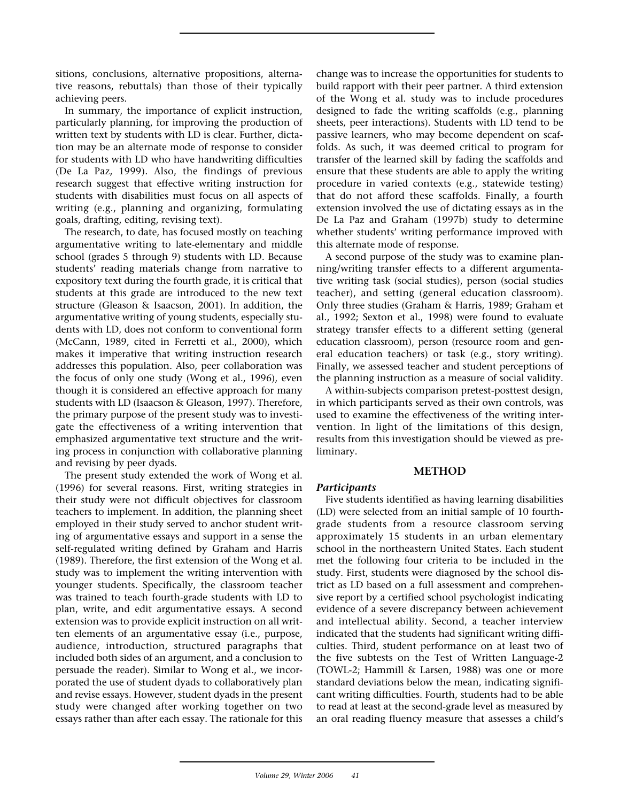sitions, conclusions, alternative propositions, alternative reasons, rebuttals) than those of their typically achieving peers.

In summary, the importance of explicit instruction, particularly planning, for improving the production of written text by students with LD is clear. Further, dictation may be an alternate mode of response to consider for students with LD who have handwriting difficulties (De La Paz, 1999). Also, the findings of previous research suggest that effective writing instruction for students with disabilities must focus on all aspects of writing (e.g., planning and organizing, formulating goals, drafting, editing, revising text).

The research, to date, has focused mostly on teaching argumentative writing to late-elementary and middle school (grades 5 through 9) students with LD. Because students' reading materials change from narrative to expository text during the fourth grade, it is critical that students at this grade are introduced to the new text structure (Gleason & Isaacson, 2001). In addition, the argumentative writing of young students, especially students with LD, does not conform to conventional form (McCann, 1989, cited in Ferretti et al., 2000), which makes it imperative that writing instruction research addresses this population. Also, peer collaboration was the focus of only one study (Wong et al., 1996), even though it is considered an effective approach for many students with LD (Isaacson & Gleason, 1997). Therefore, the primary purpose of the present study was to investigate the effectiveness of a writing intervention that emphasized argumentative text structure and the writing process in conjunction with collaborative planning and revising by peer dyads.

The present study extended the work of Wong et al. (1996) for several reasons. First, writing strategies in their study were not difficult objectives for classroom teachers to implement. In addition, the planning sheet employed in their study served to anchor student writing of argumentative essays and support in a sense the self-regulated writing defined by Graham and Harris (1989). Therefore, the first extension of the Wong et al. study was to implement the writing intervention with younger students. Specifically, the classroom teacher was trained to teach fourth-grade students with LD to plan, write, and edit argumentative essays. A second extension was to provide explicit instruction on all written elements of an argumentative essay (i.e., purpose, audience, introduction, structured paragraphs that included both sides of an argument, and a conclusion to persuade the reader). Similar to Wong et al., we incorporated the use of student dyads to collaboratively plan and revise essays. However, student dyads in the present study were changed after working together on two essays rather than after each essay. The rationale for this

change was to increase the opportunities for students to build rapport with their peer partner. A third extension of the Wong et al. study was to include procedures designed to fade the writing scaffolds (e.g., planning sheets, peer interactions). Students with LD tend to be passive learners, who may become dependent on scaffolds. As such, it was deemed critical to program for transfer of the learned skill by fading the scaffolds and ensure that these students are able to apply the writing procedure in varied contexts (e.g., statewide testing) that do not afford these scaffolds. Finally, a fourth extension involved the use of dictating essays as in the De La Paz and Graham (1997b) study to determine whether students' writing performance improved with this alternate mode of response.

A second purpose of the study was to examine planning/writing transfer effects to a different argumentative writing task (social studies), person (social studies teacher), and setting (general education classroom). Only three studies (Graham & Harris, 1989; Graham et al., 1992; Sexton et al., 1998) were found to evaluate strategy transfer effects to a different setting (general education classroom), person (resource room and general education teachers) or task (e.g., story writing). Finally, we assessed teacher and student perceptions of the planning instruction as a measure of social validity.

A within-subjects comparison pretest-posttest design, in which participants served as their own controls, was used to examine the effectiveness of the writing intervention. In light of the limitations of this design, results from this investigation should be viewed as preliminary.

#### **METHOD**

#### *Participants*

Five students identified as having learning disabilities (LD) were selected from an initial sample of 10 fourthgrade students from a resource classroom serving approximately 15 students in an urban elementary school in the northeastern United States. Each student met the following four criteria to be included in the study. First, students were diagnosed by the school district as LD based on a full assessment and comprehensive report by a certified school psychologist indicating evidence of a severe discrepancy between achievement and intellectual ability. Second, a teacher interview indicated that the students had significant writing difficulties. Third, student performance on at least two of the five subtests on the Test of Written Language-2 (TOWL-2; Hammill & Larsen, 1988) was one or more standard deviations below the mean, indicating significant writing difficulties. Fourth, students had to be able to read at least at the second-grade level as measured by an oral reading fluency measure that assesses a child's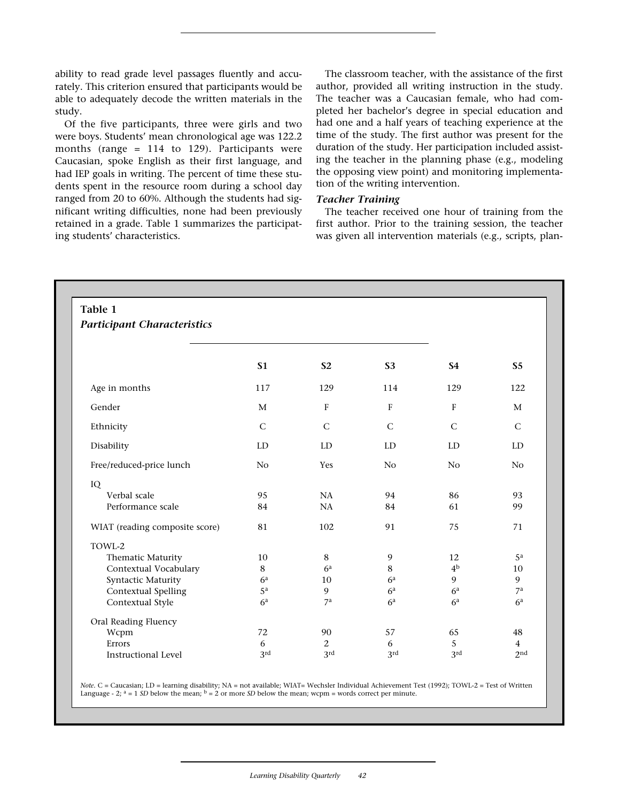ability to read grade level passages fluently and accurately. This criterion ensured that participants would be able to adequately decode the written materials in the study.

Of the five participants, three were girls and two were boys. Students' mean chronological age was 122.2 months (range = 114 to 129). Participants were Caucasian, spoke English as their first language, and had IEP goals in writing. The percent of time these students spent in the resource room during a school day ranged from 20 to 60%. Although the students had significant writing difficulties, none had been previously retained in a grade. Table 1 summarizes the participating students' characteristics.

The classroom teacher, with the assistance of the first author, provided all writing instruction in the study. The teacher was a Caucasian female, who had completed her bachelor's degree in special education and had one and a half years of teaching experience at the time of the study. The first author was present for the duration of the study. Her participation included assisting the teacher in the planning phase (e.g., modeling the opposing view point) and monitoring implementation of the writing intervention.

## *Teacher Training*

The teacher received one hour of training from the first author. Prior to the training session, the teacher was given all intervention materials (e.g., scripts, plan-

| Table 1<br><b>Participant Characteristics</b> |                |                |                |                |                |
|-----------------------------------------------|----------------|----------------|----------------|----------------|----------------|
|                                               |                |                |                |                |                |
|                                               | <b>S1</b>      | S <sub>2</sub> | <b>S3</b>      | <b>S4</b>      | S <sub>5</sub> |
| Age in months                                 | 117            | 129            | 114            | 129            | 122            |
| Gender                                        | M              | $\mathbf{F}$   | F              | $\mathbf{F}$   | M              |
| Ethnicity                                     | $\mathsf{C}$   | $\mathsf{C}$   | $\mathsf{C}$   | $\mathsf{C}$   | $\mathsf C$    |
| Disability                                    | LD             | LD             | LD             | LD             | LD             |
| Free/reduced-price lunch                      | N <sub>o</sub> | Yes            | N <sub>o</sub> | No             | No             |
| IQ                                            |                |                |                |                |                |
| Verbal scale                                  | 95             | NA             | 94             | 86             | 93             |
| Performance scale                             | 84             | NA             | 84             | 61             | 99             |
| WIAT (reading composite score)                | 81             | 102            | 91             | 75             | 71             |
| TOWL-2                                        |                |                |                |                |                |
| Thematic Maturity                             | 10             | $\,8\,$        | $\mathbf{9}$   | 12             | $5^{\rm a}$    |
| Contextual Vocabulary                         | 8              | 6 <sup>a</sup> | 8              | 4 <sup>b</sup> | 10             |
| Syntactic Maturity                            | 6 <sup>a</sup> | 10             | 6 <sup>a</sup> | 9              | 9              |
| Contextual Spelling                           | 5 <sup>a</sup> | 9              | 6 <sup>a</sup> | 6 <sup>a</sup> | 7 <sup>a</sup> |
| Contextual Style                              | 6 <sup>a</sup> | 7 <sup>a</sup> | 6 <sup>a</sup> | 6 <sup>a</sup> | 6 <sup>a</sup> |
| Oral Reading Fluency                          |                |                |                |                |                |
| Wcpm                                          | 72             | 90             | 57             | 65             | 48             |
| Errors                                        | 6              | 2              | 6              | 5              | $\overline{4}$ |
|                                               |                |                |                |                |                |

*Note.* C = Caucasian; LD = learning disability; NA = not available; WIAT= Wechsler Individual Achievement Test (1992); TOWL-2 = Test of Written Language - 2;  $a = 1 SD$  below the mean;  $b = 2$  or more *SD* below the mean; wcpm = words correct per minute.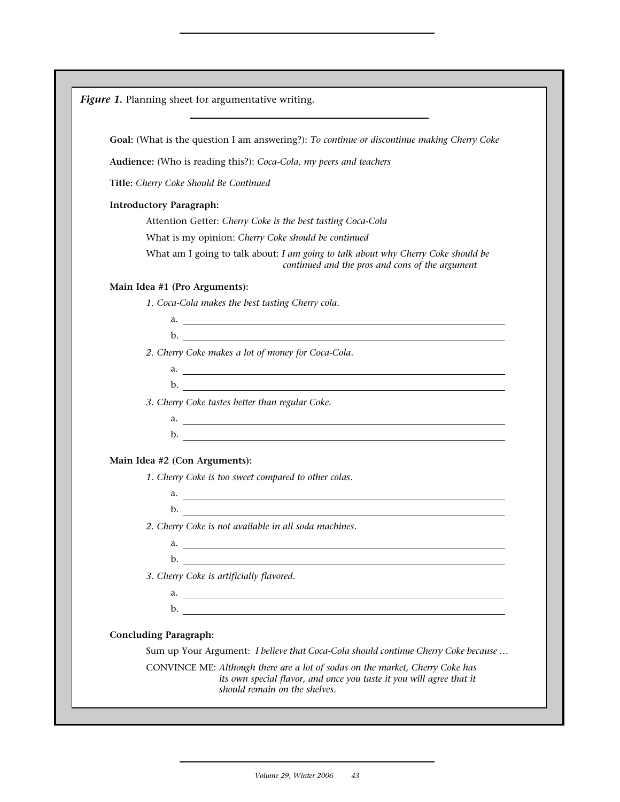| Goal: (What is the question I am answering?): To continue or discontinue making Cherry Coke                                          |
|--------------------------------------------------------------------------------------------------------------------------------------|
| Audience: (Who is reading this?): Coca-Cola, my peers and teachers                                                                   |
| Title: Cherry Coke Should Be Continued                                                                                               |
| <b>Introductory Paragraph:</b>                                                                                                       |
| Attention Getter: Cherry Coke is the best tasting Coca-Cola                                                                          |
| What is my opinion: Cherry Coke should be continued                                                                                  |
| What am I going to talk about: I am going to talk about why Cherry Coke should be<br>continued and the pros and cons of the argument |
| Main Idea #1 (Pro Arguments):                                                                                                        |
| 1. Coca-Cola makes the best tasting Cherry cola.                                                                                     |
| $\mathbf{a}$ .                                                                                                                       |
|                                                                                                                                      |
| 2. Cherry Coke makes a lot of money for Coca-Cola.                                                                                   |
| $\overline{a}$ .                                                                                                                     |
|                                                                                                                                      |
| 3. Cherry Coke tastes better than regular Coke.                                                                                      |
|                                                                                                                                      |
| $\mathbf{b}$ .                                                                                                                       |
| Main Idea #2 (Con Arguments):                                                                                                        |
| 1. Cherry Coke is too sweet compared to other colas.                                                                                 |
| a.                                                                                                                                   |
|                                                                                                                                      |
| 2. Cherry Coke is not available in all soda machines.                                                                                |
|                                                                                                                                      |
|                                                                                                                                      |
| 3. Cherry Coke is artificially flavored.                                                                                             |
| a.                                                                                                                                   |
|                                                                                                                                      |
| <b>Concluding Paragraph:</b>                                                                                                         |
| Sum up Your Argument: I believe that Coca-Cola should continue Cherry Coke because                                                   |
| CONVINCE ME: Although there are a lot of sodas on the market, Cherry Coke has                                                        |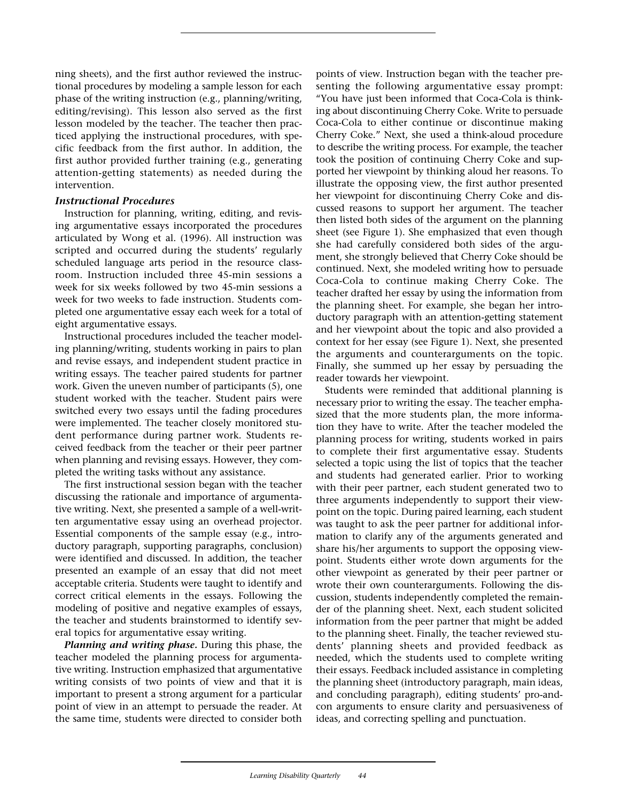ning sheets), and the first author reviewed the instructional procedures by modeling a sample lesson for each phase of the writing instruction (e.g., planning/writing, editing/revising). This lesson also served as the first lesson modeled by the teacher. The teacher then practiced applying the instructional procedures, with specific feedback from the first author. In addition, the first author provided further training (e.g., generating attention-getting statements) as needed during the intervention.

## *Instructional Procedures*

Instruction for planning, writing, editing, and revising argumentative essays incorporated the procedures articulated by Wong et al. (1996). All instruction was scripted and occurred during the students' regularly scheduled language arts period in the resource classroom. Instruction included three 45-min sessions a week for six weeks followed by two 45-min sessions a week for two weeks to fade instruction. Students completed one argumentative essay each week for a total of eight argumentative essays.

Instructional procedures included the teacher modeling planning/writing, students working in pairs to plan and revise essays, and independent student practice in writing essays. The teacher paired students for partner work. Given the uneven number of participants (5), one student worked with the teacher. Student pairs were switched every two essays until the fading procedures were implemented. The teacher closely monitored student performance during partner work. Students received feedback from the teacher or their peer partner when planning and revising essays. However, they completed the writing tasks without any assistance.

The first instructional session began with the teacher discussing the rationale and importance of argumentative writing. Next, she presented a sample of a well-written argumentative essay using an overhead projector. Essential components of the sample essay (e.g., introductory paragraph, supporting paragraphs, conclusion) were identified and discussed. In addition, the teacher presented an example of an essay that did not meet acceptable criteria. Students were taught to identify and correct critical elements in the essays. Following the modeling of positive and negative examples of essays, the teacher and students brainstormed to identify several topics for argumentative essay writing.

*Planning and writing phase.* During this phase, the teacher modeled the planning process for argumentative writing. Instruction emphasized that argumentative writing consists of two points of view and that it is important to present a strong argument for a particular point of view in an attempt to persuade the reader. At the same time, students were directed to consider both points of view. Instruction began with the teacher presenting the following argumentative essay prompt: "You have just been informed that Coca-Cola is thinking about discontinuing Cherry Coke. Write to persuade Coca-Cola to either continue or discontinue making Cherry Coke." Next, she used a think-aloud procedure to describe the writing process. For example, the teacher took the position of continuing Cherry Coke and supported her viewpoint by thinking aloud her reasons. To illustrate the opposing view, the first author presented her viewpoint for discontinuing Cherry Coke and discussed reasons to support her argument. The teacher then listed both sides of the argument on the planning sheet (see Figure 1). She emphasized that even though she had carefully considered both sides of the argument, she strongly believed that Cherry Coke should be continued. Next, she modeled writing how to persuade Coca-Cola to continue making Cherry Coke. The teacher drafted her essay by using the information from the planning sheet. For example, she began her introductory paragraph with an attention-getting statement and her viewpoint about the topic and also provided a context for her essay (see Figure 1). Next, she presented the arguments and counterarguments on the topic. Finally, she summed up her essay by persuading the reader towards her viewpoint.

Students were reminded that additional planning is necessary prior to writing the essay. The teacher emphasized that the more students plan, the more information they have to write. After the teacher modeled the planning process for writing, students worked in pairs to complete their first argumentative essay. Students selected a topic using the list of topics that the teacher and students had generated earlier. Prior to working with their peer partner, each student generated two to three arguments independently to support their viewpoint on the topic. During paired learning, each student was taught to ask the peer partner for additional information to clarify any of the arguments generated and share his/her arguments to support the opposing viewpoint. Students either wrote down arguments for the other viewpoint as generated by their peer partner or wrote their own counterarguments. Following the discussion, students independently completed the remainder of the planning sheet. Next, each student solicited information from the peer partner that might be added to the planning sheet. Finally, the teacher reviewed students' planning sheets and provided feedback as needed, which the students used to complete writing their essays. Feedback included assistance in completing the planning sheet (introductory paragraph, main ideas, and concluding paragraph), editing students' pro-andcon arguments to ensure clarity and persuasiveness of ideas, and correcting spelling and punctuation.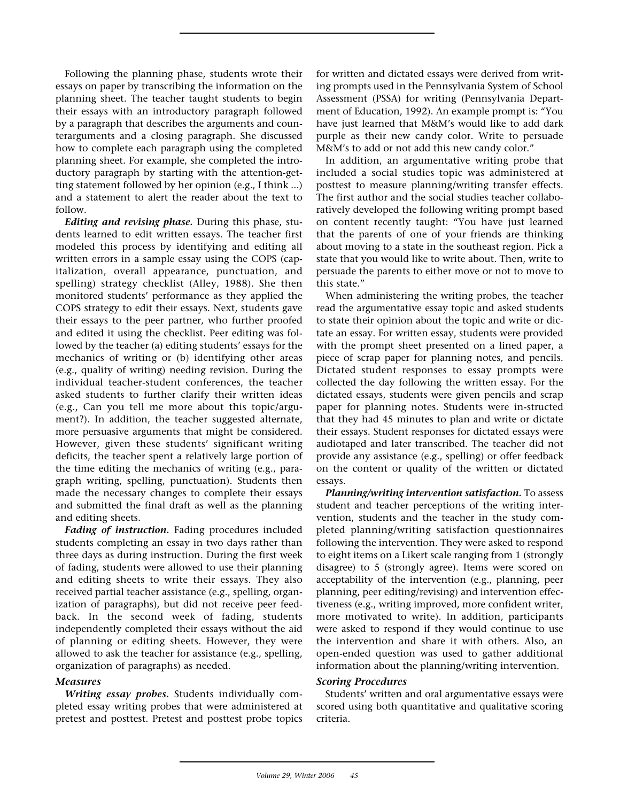Following the planning phase, students wrote their essays on paper by transcribing the information on the planning sheet. The teacher taught students to begin their essays with an introductory paragraph followed by a paragraph that describes the arguments and counterarguments and a closing paragraph. She discussed how to complete each paragraph using the completed planning sheet. For example, she completed the introductory paragraph by starting with the attention-getting statement followed by her opinion (e.g., I think ...) and a statement to alert the reader about the text to follow.

*Editing and revising phase.* During this phase, students learned to edit written essays. The teacher first modeled this process by identifying and editing all written errors in a sample essay using the COPS (capitalization, overall appearance, punctuation, and spelling) strategy checklist (Alley, 1988). She then monitored students' performance as they applied the COPS strategy to edit their essays. Next, students gave their essays to the peer partner, who further proofed and edited it using the checklist. Peer editing was followed by the teacher (a) editing students' essays for the mechanics of writing or (b) identifying other areas (e.g., quality of writing) needing revision. During the individual teacher-student conferences, the teacher asked students to further clarify their written ideas (e.g., Can you tell me more about this topic/argument?). In addition, the teacher suggested alternate, more persuasive arguments that might be considered. However, given these students' significant writing deficits, the teacher spent a relatively large portion of the time editing the mechanics of writing (e.g., paragraph writing, spelling, punctuation). Students then made the necessary changes to complete their essays and submitted the final draft as well as the planning and editing sheets.

*Fading of instruction.* Fading procedures included students completing an essay in two days rather than three days as during instruction. During the first week of fading, students were allowed to use their planning and editing sheets to write their essays. They also received partial teacher assistance (e.g., spelling, organization of paragraphs), but did not receive peer feedback. In the second week of fading, students independently completed their essays without the aid of planning or editing sheets. However, they were allowed to ask the teacher for assistance (e.g., spelling, organization of paragraphs) as needed.

## *Measures*

*Writing essay probes.* Students individually completed essay writing probes that were administered at pretest and posttest. Pretest and posttest probe topics for written and dictated essays were derived from writing prompts used in the Pennsylvania System of School Assessment (PSSA) for writing (Pennsylvania Department of Education, 1992). An example prompt is: "You have just learned that M&M's would like to add dark purple as their new candy color. Write to persuade M&M's to add or not add this new candy color."

In addition, an argumentative writing probe that included a social studies topic was administered at posttest to measure planning/writing transfer effects. The first author and the social studies teacher collaboratively developed the following writing prompt based on content recently taught: "You have just learned that the parents of one of your friends are thinking about moving to a state in the southeast region. Pick a state that you would like to write about. Then, write to persuade the parents to either move or not to move to this state."

When administering the writing probes, the teacher read the argumentative essay topic and asked students to state their opinion about the topic and write or dictate an essay. For written essay, students were provided with the prompt sheet presented on a lined paper, a piece of scrap paper for planning notes, and pencils. Dictated student responses to essay prompts were collected the day following the written essay. For the dictated essays, students were given pencils and scrap paper for planning notes. Students were in-structed that they had 45 minutes to plan and write or dictate their essays. Student responses for dictated essays were audiotaped and later transcribed. The teacher did not provide any assistance (e.g., spelling) or offer feedback on the content or quality of the written or dictated essays.

*Planning/writing intervention satisfaction.* To assess student and teacher perceptions of the writing intervention, students and the teacher in the study completed planning/writing satisfaction questionnaires following the intervention. They were asked to respond to eight items on a Likert scale ranging from 1 (strongly disagree) to 5 (strongly agree). Items were scored on acceptability of the intervention (e.g., planning, peer planning, peer editing/revising) and intervention effectiveness (e.g., writing improved, more confident writer, more motivated to write). In addition, participants were asked to respond if they would continue to use the intervention and share it with others. Also, an open-ended question was used to gather additional information about the planning/writing intervention.

## *Scoring Procedures*

Students' written and oral argumentative essays were scored using both quantitative and qualitative scoring criteria.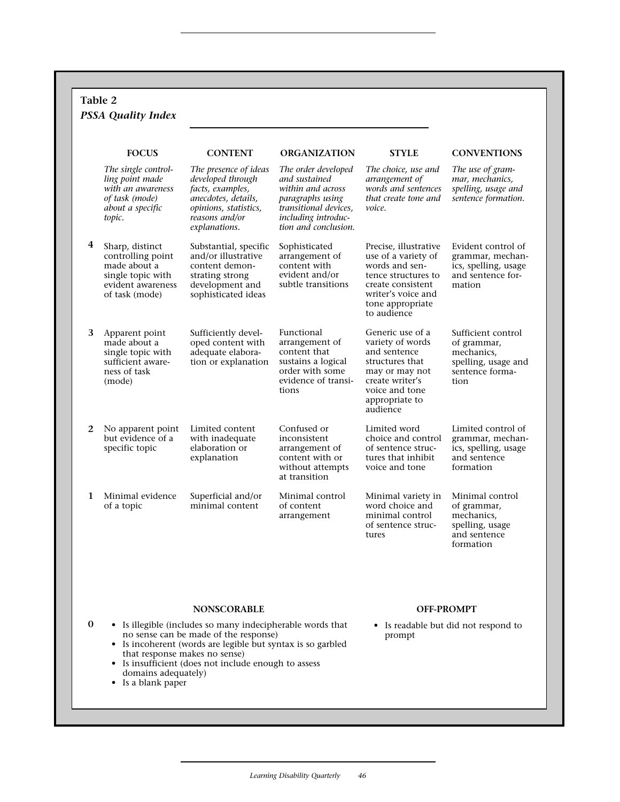|   | Table 2<br><b>PSSA Quality Index</b>                                                                             |                                                                                                                                                   |                                                                                                                                                       |                                                                                                                                                                     |                                                                                                   |
|---|------------------------------------------------------------------------------------------------------------------|---------------------------------------------------------------------------------------------------------------------------------------------------|-------------------------------------------------------------------------------------------------------------------------------------------------------|---------------------------------------------------------------------------------------------------------------------------------------------------------------------|---------------------------------------------------------------------------------------------------|
|   | <b>FOCUS</b>                                                                                                     | <b>CONTENT</b>                                                                                                                                    | <b>ORGANIZATION</b>                                                                                                                                   | <b>STYLE</b>                                                                                                                                                        | <b>CONVENTIONS</b>                                                                                |
|   | The single control-<br>ling point made<br>with an awareness<br>of task (mode)<br>about a specific<br>topic.      | The presence of ideas<br>developed through<br>facts, examples,<br>anecdotes, details,<br>opinions, statistics,<br>reasons and/or<br>explanations. | The order developed<br>and sustained<br>within and across<br>paragraphs using<br>transitional devices,<br>including introduc-<br>tion and conclusion. | The choice, use and<br>arrangement of<br>words and sentences<br>that create tone and<br>voice.                                                                      | The use of gram-<br>mar, mechanics,<br>spelling, usage and<br>sentence formation.                 |
| 4 | Sharp, distinct<br>controlling point<br>made about a<br>single topic with<br>evident awareness<br>of task (mode) | Substantial, specific<br>and/or illustrative<br>content demon-<br>strating strong<br>development and<br>sophisticated ideas                       | Sophisticated<br>arrangement of<br>content with<br>evident and/or<br>subtle transitions                                                               | Precise, illustrative<br>use of a variety of<br>words and sen-<br>tence structures to<br>create consistent<br>writer's voice and<br>tone appropriate<br>to audience | Evident control of<br>grammar, mechan-<br>ics, spelling, usage<br>and sentence for-<br>mation     |
| 3 | Apparent point<br>made about a<br>single topic with<br>sufficient aware-<br>ness of task<br>(mode)               | Sufficiently devel-<br>oped content with<br>adequate elabora-<br>tion or explanation                                                              | Functional<br>arrangement of<br>content that<br>sustains a logical<br>order with some<br>evidence of transi-<br>tions                                 | Generic use of a<br>variety of words<br>and sentence<br>structures that<br>may or may not<br>create writer's<br>voice and tone<br>appropriate to<br>audience        | Sufficient control<br>of grammar,<br>mechanics,<br>spelling, usage and<br>sentence forma-<br>tion |
| 2 | No apparent point<br>but evidence of a<br>specific topic                                                         | Limited content<br>with inadequate<br>elaboration or<br>explanation                                                                               | Confused or<br>inconsistent<br>arrangement of<br>content with or<br>without attempts<br>at transition                                                 | Limited word<br>choice and control<br>of sentence struc-<br>tures that inhibit<br>voice and tone                                                                    | Limited control of<br>grammar, mechan-<br>ics, spelling, usage<br>and sentence<br>formation       |
| 1 | Minimal evidence<br>of a topic                                                                                   | Superficial and/or<br>minimal content                                                                                                             | Minimal control<br>of content<br>arrangement                                                                                                          | Minimal variety in<br>word choice and<br>minimal control<br>of sentence struc-<br>tures                                                                             | Minimal control<br>of grammar,<br>mechanics,<br>spelling, usage<br>and sentence<br>formation      |

## **NONSCORABLE**

- Is illegible (includes so many indecipherable words that no sense can be made of the response)
	- Is incoherent (words are legible but syntax is so garbled that response makes no sense)
	- Is insufficient (does not include enough to assess domains adequately)
	- Is a blank paper

**0**

 $\sqrt{ }$ 

# **OFF-PROMPT**

• Is readable but did not respond to prompt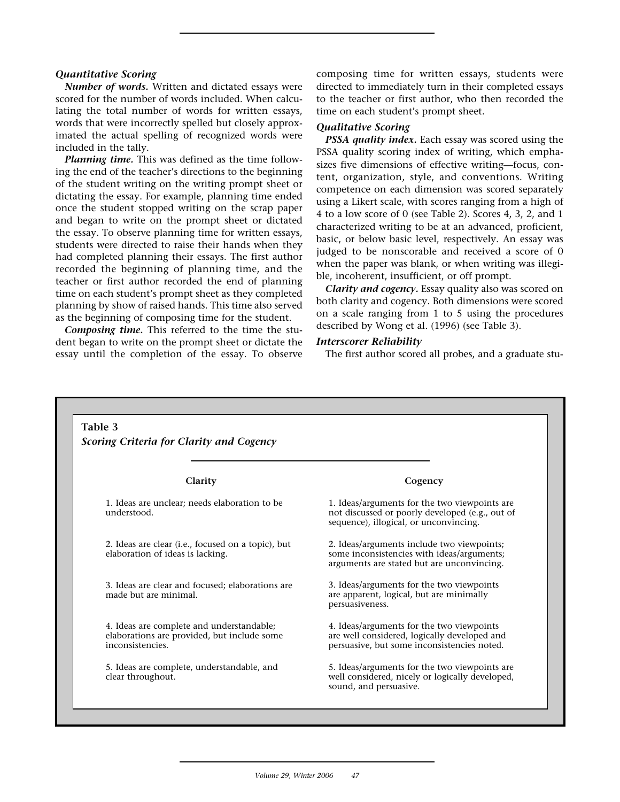#### *Quantitative Scoring*

*Number of words.* Written and dictated essays were scored for the number of words included. When calculating the total number of words for written essays, words that were incorrectly spelled but closely approximated the actual spelling of recognized words were included in the tally.

*Planning time.* This was defined as the time following the end of the teacher's directions to the beginning of the student writing on the writing prompt sheet or dictating the essay. For example, planning time ended once the student stopped writing on the scrap paper and began to write on the prompt sheet or dictated the essay. To observe planning time for written essays, students were directed to raise their hands when they had completed planning their essays. The first author recorded the beginning of planning time, and the teacher or first author recorded the end of planning time on each student's prompt sheet as they completed planning by show of raised hands. This time also served as the beginning of composing time for the student.

*Composing time.* This referred to the time the student began to write on the prompt sheet or dictate the essay until the completion of the essay. To observe composing time for written essays, students were directed to immediately turn in their completed essays to the teacher or first author, who then recorded the time on each student's prompt sheet.

#### *Qualitative Scoring*

*PSSA quality index.* Each essay was scored using the PSSA quality scoring index of writing, which emphasizes five dimensions of effective writing—focus, content, organization, style, and conventions. Writing competence on each dimension was scored separately using a Likert scale, with scores ranging from a high of 4 to a low score of 0 (see Table 2). Scores 4, 3, 2, and 1 characterized writing to be at an advanced, proficient, basic, or below basic level, respectively. An essay was judged to be nonscorable and received a score of 0 when the paper was blank, or when writing was illegible, incoherent, insufficient, or off prompt.

*Clarity and cogency.* Essay quality also was scored on both clarity and cogency. Both dimensions were scored on a scale ranging from 1 to 5 using the procedures described by Wong et al. (1996) (see Table 3).

#### *Interscorer Reliability*

The first author scored all probes, and a graduate stu-

| Scoring Criteria for Clarity and Cogency                                                                     |                                                                                                                                             |
|--------------------------------------------------------------------------------------------------------------|---------------------------------------------------------------------------------------------------------------------------------------------|
| Clarity                                                                                                      | Cogency                                                                                                                                     |
| 1. Ideas are unclear; needs elaboration to be<br>understood.                                                 | 1. Ideas/arguments for the two viewpoints are.<br>not discussed or poorly developed (e.g., out of<br>sequence), illogical, or unconvincing. |
| 2. Ideas are clear ( <i>i.e.</i> , focused on a topic), but<br>elaboration of ideas is lacking.              | 2. Ideas/arguments include two viewpoints;<br>some inconsistencies with ideas/arguments;<br>arguments are stated but are unconvincing.      |
| 3. Ideas are clear and focused; elaborations are<br>made but are minimal.                                    | 3. Ideas/arguments for the two viewpoints<br>are apparent, logical, but are minimally<br>persuasiveness.                                    |
| 4. Ideas are complete and understandable;<br>elaborations are provided, but include some<br>inconsistencies. | 4. Ideas/arguments for the two viewpoints<br>are well considered, logically developed and<br>persuasive, but some inconsistencies noted.    |
| 5. Ideas are complete, understandable, and<br>clear throughout.                                              | 5. Ideas/arguments for the two viewpoints are.<br>well considered, nicely or logically developed,<br>sound, and persuasive.                 |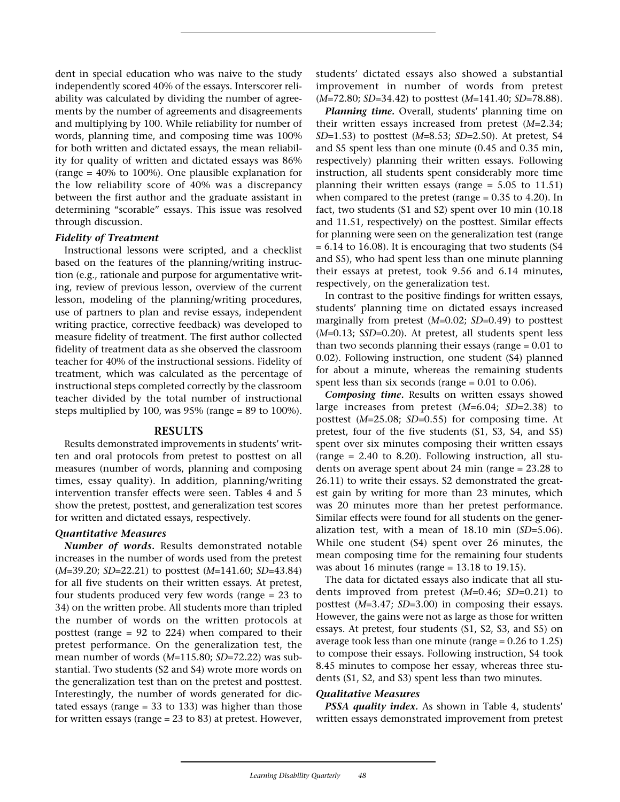dent in special education who was naive to the study independently scored 40% of the essays. Interscorer reliability was calculated by dividing the number of agreements by the number of agreements and disagreements and multiplying by 100. While reliability for number of words, planning time, and composing time was 100% for both written and dictated essays, the mean reliability for quality of written and dictated essays was 86% (range = 40% to 100%). One plausible explanation for the low reliability score of 40% was a discrepancy between the first author and the graduate assistant in determining "scorable" essays. This issue was resolved through discussion.

## *Fidelity of Treatment*

Instructional lessons were scripted, and a checklist based on the features of the planning/writing instruction (e.g., rationale and purpose for argumentative writing, review of previous lesson, overview of the current lesson, modeling of the planning/writing procedures, use of partners to plan and revise essays, independent writing practice, corrective feedback) was developed to measure fidelity of treatment. The first author collected fidelity of treatment data as she observed the classroom teacher for 40% of the instructional sessions. Fidelity of treatment, which was calculated as the percentage of instructional steps completed correctly by the classroom teacher divided by the total number of instructional steps multiplied by 100, was 95% (range = 89 to 100%).

#### **RESULTS**

Results demonstrated improvements in students' written and oral protocols from pretest to posttest on all measures (number of words, planning and composing times, essay quality). In addition, planning/writing intervention transfer effects were seen. Tables 4 and 5 show the pretest, posttest, and generalization test scores for written and dictated essays, respectively.

#### *Quantitative Measures*

*Number of words.* Results demonstrated notable increases in the number of words used from the pretest (*M*=39.20; *SD*=22.21) to posttest (*M*=141.60; *SD*=43.84) for all five students on their written essays. At pretest, four students produced very few words (range = 23 to 34) on the written probe. All students more than tripled the number of words on the written protocols at posttest (range = 92 to 224) when compared to their pretest performance. On the generalization test, the mean number of words (*M*=115.80; *SD*=72.22) was substantial. Two students (S2 and S4) wrote more words on the generalization test than on the pretest and posttest. Interestingly, the number of words generated for dictated essays (range = 33 to 133) was higher than those for written essays (range = 23 to 83) at pretest. However, students' dictated essays also showed a substantial improvement in number of words from pretest (*M*=72.80; *SD*=34.42) to posttest (*M*=141.40; *SD*=78.88).

*Planning time.* Overall, students' planning time on their written essays increased from pretest (*M*=2.34; *SD*=1.53) to posttest (*M*=8.53; *SD*=2.50). At pretest, S4 and S5 spent less than one minute (0.45 and 0.35 min, respectively) planning their written essays. Following instruction, all students spent considerably more time planning their written essays (range  $= 5.05$  to 11.51) when compared to the pretest (range  $= 0.35$  to 4.20). In fact, two students (S1 and S2) spent over 10 min (10.18 and 11.51, respectively) on the posttest. Similar effects for planning were seen on the generalization test (range  $= 6.14$  to 16.08). It is encouraging that two students (S4 and S5), who had spent less than one minute planning their essays at pretest, took 9.56 and 6.14 minutes, respectively, on the generalization test.

In contrast to the positive findings for written essays, students' planning time on dictated essays increased marginally from pretest (*M*=0.02; *SD*=0.49) to posttest (*M*=0.13; S*SD*=0.20). At pretest, all students spent less than two seconds planning their essays (range  $= 0.01$  to 0.02). Following instruction, one student (S4) planned for about a minute, whereas the remaining students spent less than six seconds (range = 0.01 to 0.06).

*Composing time.* Results on written essays showed large increases from pretest (*M*=6.04; *SD*=2.38) to posttest (*M*=25.08; *SD*=0.55) for composing time. At pretest, four of the five students (S1, S3, S4, and S5) spent over six minutes composing their written essays (range = 2.40 to 8.20). Following instruction, all students on average spent about 24 min (range = 23.28 to 26.11) to write their essays. S2 demonstrated the greatest gain by writing for more than 23 minutes, which was 20 minutes more than her pretest performance. Similar effects were found for all students on the generalization test, with a mean of 18.10 min (*SD*=5.06). While one student (S4) spent over 26 minutes, the mean composing time for the remaining four students was about 16 minutes (range = 13.18 to 19.15).

The data for dictated essays also indicate that all students improved from pretest (*M*=0.46; *SD*=0.21) to posttest (*M*=3.47; *SD*=3.00) in composing their essays. However, the gains were not as large as those for written essays. At pretest, four students (S1, S2, S3, and S5) on average took less than one minute (range  $= 0.26$  to 1.25) to compose their essays. Following instruction, S4 took 8.45 minutes to compose her essay, whereas three students (S1, S2, and S3) spent less than two minutes.

#### *Qualitative Measures*

*PSSA quality index.* As shown in Table 4, students' written essays demonstrated improvement from pretest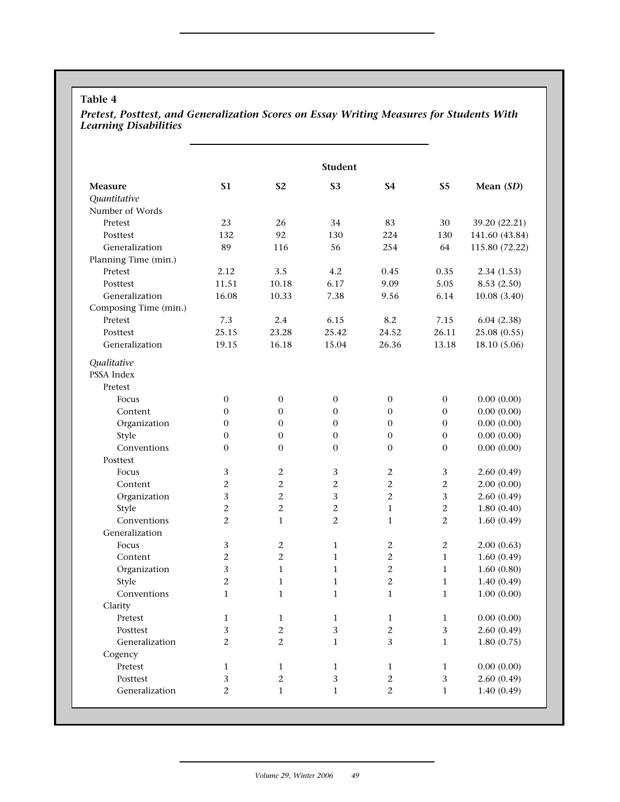# **Table 4**

## *Pretest, Posttest, and Generalization Scores on Essay Writing Measures for Students With Learning Disabilities*

|                       |                  |                  | <b>Student</b>   |                |                |                |
|-----------------------|------------------|------------------|------------------|----------------|----------------|----------------|
| Measure               | <b>S1</b>        | <b>S2</b>        | <b>S3</b>        | <b>S4</b>      | S <sub>5</sub> | Mean (SD)      |
| Quantitative          |                  |                  |                  |                |                |                |
| Number of Words       |                  |                  |                  |                |                |                |
| Pretest               | 23               | 26               | 34               | 83             | 30             | 39.20 (22.21)  |
| Posttest              | 132              | 92               | 130              | 224            | 130            | 141.60 (43.84) |
| Generalization        | 89               | 116              | 56               | 254            | 64             | 115.80 (72.22) |
| Planning Time (min.)  |                  |                  |                  |                |                |                |
| Pretest               | 2.12             | 3.5              | 4.2              | 0.45           | 0.35           | 2.34(1.53)     |
| Posttest              | 11.51            | 10.18            | 6.17             | 9.09           | 5.05           | 8.53 (2.50)    |
| Generalization        | 16.08            | 10.33            | 7.38             | 9.56           | 6.14           | 10.08(3.40)    |
| Composing Time (min.) |                  |                  |                  |                |                |                |
| Pretest               | 7.3              | 2.4              | 6.15             | 8.2            | 7.15           | 6.04(2.38)     |
| Posttest              | 25.15            | 23.28            | 25.42            | 24.52          | 26.11          | 25.08 (0.55)   |
| Generalization        | 19.15            | 16.18            | 15.04            | 26.36          | 13.18          | 18.10 (5.06)   |
| Qualitative           |                  |                  |                  |                |                |                |
| PSSA Index            |                  |                  |                  |                |                |                |
| Pretest               |                  |                  |                  |                |                |                |
| Focus                 | $\boldsymbol{0}$ | $\boldsymbol{0}$ | $\mathbf{0}$     | $\mathbf{0}$   | $\mathbf{0}$   | 0.00(0.00)     |
| Content               | $\mathbf{0}$     | $\mathbf{0}$     | $\boldsymbol{0}$ | $\overline{0}$ | $\mathbf{0}$   | 0.00(0.00)     |
| Organization          | $\boldsymbol{0}$ | $\mathbf{0}$     | $\boldsymbol{0}$ | $\overline{0}$ | $\mathbf{0}$   | 0.00(0.00)     |
| Style                 | $\boldsymbol{0}$ | $\mathbf{0}$     | $\boldsymbol{0}$ | $\overline{0}$ | $\mathbf{0}$   | 0.00(0.00)     |
| Conventions           | $\mathbf{0}$     | $\mathbf{0}$     | $\mathbf{0}$     | $\mathbf{0}$   | $\mathbf{0}$   | 0.00(0.00)     |
| Posttest              |                  |                  |                  |                |                |                |
| Focus                 | 3                | $\mathbf{2}$     | 3                | $\mathbf{2}$   | 3              | 2.60(0.49)     |
| Content               | 2                | $\overline{2}$   | $\mathbf{2}$     | $\overline{2}$ | 2              | 2.00(0.00)     |
| Organization          | 3                | $\mathbf{2}$     | 3                | $\overline{2}$ | 3              | 2.60(0.49)     |
| Style                 | 2                | 2                | $\mathbf{2}$     | $\mathbf{1}$   | $\mathbf{2}$   | 1.80(0.40)     |
| Conventions           | 2                | $\mathbf{1}$     | $\overline{2}$   | $\mathbf{1}$   | 2              | 1.60(0.49)     |
| Generalization        |                  |                  |                  |                |                |                |
| Focus                 | 3                | $\mathbf{2}$     | $\mathbf{1}$     | 2              | $\mathbf{2}$   | 2.00(0.63)     |
| Content               | 2                | $\overline{2}$   | $\mathbf{1}$     | $\overline{2}$ | $\mathbf{1}$   | 1.60(0.49)     |
| Organization          | 3                | $\mathbf{1}$     | $\mathbf{1}$     | $\mathbf{2}$   | $\mathbf{1}$   | 1.60(0.80)     |
| Style                 | 2                | $\mathbf{1}$     | $\mathbf{1}$     | $\mathbf{2}$   | $\mathbf{1}$   | 1.40(0.49)     |
| Conventions           | $\mathbf{1}$     | $\mathbf{1}$     | $\mathbf{1}$     | $\mathbf{1}$   | $\mathbf{1}$   | 1.00(0.00)     |
| Clarity               |                  |                  |                  |                |                |                |
| Pretest               | $\mathbf{1}$     | $\mathbf{1}$     | $\mathbf{1}$     | 1              | $\mathbf{1}$   | 0.00(0.00)     |
| Posttest              | 3                | $\overline{2}$   | $\sqrt{3}$       | $\overline{c}$ | $\mathbf{3}$   | 2.60(0.49)     |
| Generalization        | $\mathbf{2}$     | $\mathbf{2}$     | $\mathbf{1}$     | 3              | $\mathbf{1}$   | 1.80(0.75)     |
| Cogency               |                  |                  |                  |                |                |                |
| Pretest               | $\mathbf{1}$     | $\mathbf{1}$     | $\mathbf{1}$     | $\mathbf{1}$   | $\mathbf{1}$   | 0.00(0.00)     |
| Posttest              | 3                | $\mathbf{2}$     | $\sqrt{3}$       | $\overline{c}$ | $\mathbf{3}$   | 2.60(0.49)     |
| Generalization        | 2                | $\mathbf{1}$     | $\mathbf{1}$     | $\overline{c}$ | $\mathbf{1}$   | 1.40(0.49)     |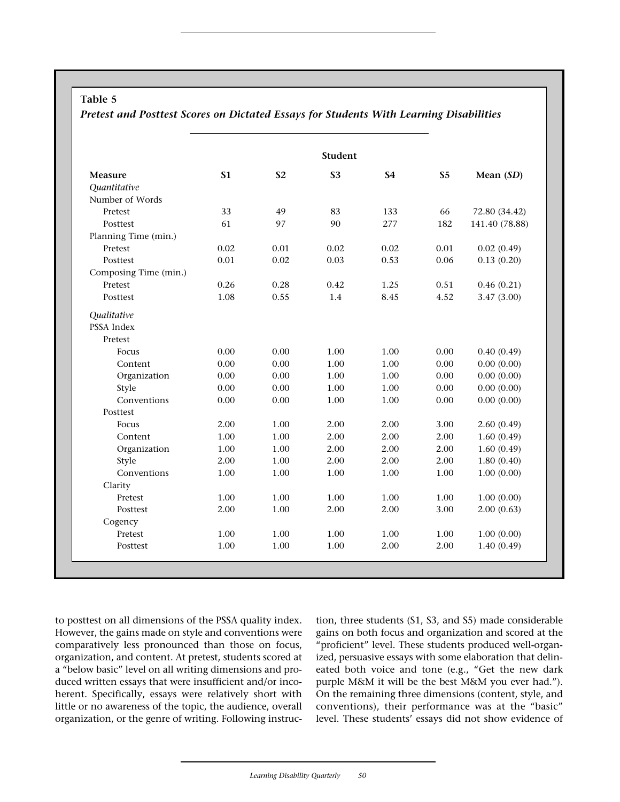# **Table 5**

**Student Measure S1 S2 S3 S4 S5 Mean (***SD***)** *Quantitative* Number of Words Pretest 33 49 83 133 66 72.80 (34.42) Posttest 61 61 97 90 277 182 141.40 (78.88) Planning Time (min.) Pretest 0.02 0.01 0.02 0.02 0.01 0.02 (0.49) Posttest 0.01 0.02 0.03 0.53 0.06 0.13 (0.20) Composing Time (min.) Pretest 0.26 0.28 0.42 1.25 0.51 0.46 (0.21) Posttest 1.08 0.55 1.4 8.45 4.52 3.47 (3.00) *Qualitative* PSSA Index Pretest Focus 0.00 0.00 1.00 1.00 0.00 0.40 (0.49) Content 0.00 0.00 1.00 1.00 0.00 0.00 (0.00) Organization 0.00 0.00 1.00 1.00 0.00 0.00 (0.00) Style 0.00 0.00 1.00 1.00 0.00 0.00 (0.00) Conventions 0.00 0.00 1.00 1.00 0.00 0.00 (0.00) Posttest Focus 2.00 1.00 2.00 2.00 3.00 2.60 (0.49) Content 1.00 1.00 2.00 2.00 2.00 1.60 (0.49) Organization 1.00 1.00 2.00 2.00 2.00 1.60 (0.49) Style 2.00 1.00 2.00 2.00 2.00 1.80 (0.40) Conventions 1.00 1.00 1.00 1.00 1.00 1.00 (0.00) Clarity Pretest 1.00 1.00 1.00 1.00 1.00 1.00 1.00 0.00) Posttest 2.00 1.00 2.00 2.00 3.00 2.00 (0.63) Cogency Pretest 1.00 1.00 1.00 1.00 1.00 1.00 1.00 0.00) Posttest 1.00 1.00 1.00 2.00 2.00 1.40 (0.49)

*Pretest and Posttest Scores on Dictated Essays for Students With Learning Disabilities*

to posttest on all dimensions of the PSSA quality index. However, the gains made on style and conventions were comparatively less pronounced than those on focus, organization, and content. At pretest, students scored at a "below basic" level on all writing dimensions and produced written essays that were insufficient and/or incoherent. Specifically, essays were relatively short with little or no awareness of the topic, the audience, overall organization, or the genre of writing. Following instruction, three students (S1, S3, and S5) made considerable gains on both focus and organization and scored at the "proficient" level. These students produced well-organized, persuasive essays with some elaboration that delineated both voice and tone (e.g., "Get the new dark purple M&M it will be the best M&M you ever had."). On the remaining three dimensions (content, style, and conventions), their performance was at the "basic" level. These students' essays did not show evidence of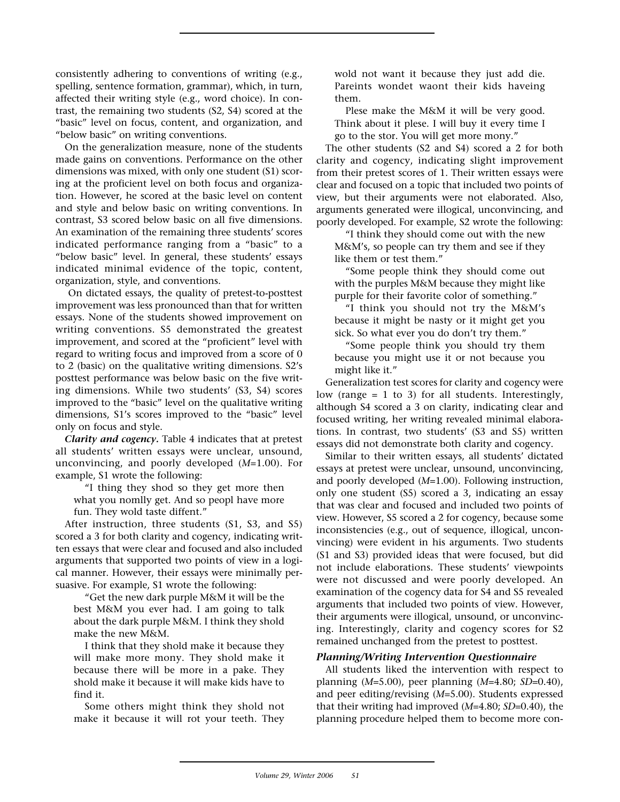consistently adhering to conventions of writing (e.g., spelling, sentence formation, grammar), which, in turn, affected their writing style (e.g., word choice). In contrast, the remaining two students (S2, S4) scored at the "basic" level on focus, content, and organization, and "below basic" on writing conventions.

On the generalization measure, none of the students made gains on conventions. Performance on the other dimensions was mixed, with only one student (S1) scoring at the proficient level on both focus and organization. However, he scored at the basic level on content and style and below basic on writing conventions. In contrast, S3 scored below basic on all five dimensions. An examination of the remaining three students' scores indicated performance ranging from a "basic" to a "below basic" level. In general, these students' essays indicated minimal evidence of the topic, content, organization, style, and conventions.

On dictated essays, the quality of pretest-to-posttest improvement was less pronounced than that for written essays. None of the students showed improvement on writing conventions. S5 demonstrated the greatest improvement, and scored at the "proficient" level with regard to writing focus and improved from a score of 0 to 2 (basic) on the qualitative writing dimensions. S2's posttest performance was below basic on the five writing dimensions. While two students' (S3, S4) scores improved to the "basic" level on the qualitative writing dimensions, S1's scores improved to the "basic" level only on focus and style.

*Clarity and cogency.* Table 4 indicates that at pretest all students' written essays were unclear, unsound, unconvincing, and poorly developed (*M*=1.00). For example, S1 wrote the following:

"I thing they shod so they get more then what you nomlly get. And so peopl have more fun. They wold taste diffent."

After instruction, three students (S1, S3, and S5) scored a 3 for both clarity and cogency, indicating written essays that were clear and focused and also included arguments that supported two points of view in a logical manner. However, their essays were minimally persuasive. For example, S1 wrote the following:

"Get the new dark purple M&M it will be the best M&M you ever had. I am going to talk about the dark purple M&M. I think they shold make the new M&M.

I think that they shold make it because they will make more mony. They shold make it because there will be more in a pake. They shold make it because it will make kids have to find it.

Some others might think they shold not make it because it will rot your teeth. They wold not want it because they just add die. Pareints wondet waont their kids haveing them.

Plese make the M&M it will be very good. Think about it plese. I will buy it every time I go to the stor. You will get more mony."

The other students (S2 and S4) scored a 2 for both clarity and cogency, indicating slight improvement from their pretest scores of 1. Their written essays were clear and focused on a topic that included two points of view, but their arguments were not elaborated. Also, arguments generated were illogical, unconvincing, and poorly developed. For example, S2 wrote the following:

"I think they should come out with the new M&M's, so people can try them and see if they like them or test them."

"Some people think they should come out with the purples M&M because they might like purple for their favorite color of something."

"I think you should not try the M&M's because it might be nasty or it might get you sick. So what ever you do don't try them."

"Some people think you should try them because you might use it or not because you might like it."

Generalization test scores for clarity and cogency were low (range  $= 1$  to 3) for all students. Interestingly, although S4 scored a 3 on clarity, indicating clear and focused writing, her writing revealed minimal elaborations. In contrast, two students' (S3 and S5) written essays did not demonstrate both clarity and cogency.

Similar to their written essays, all students' dictated essays at pretest were unclear, unsound, unconvincing, and poorly developed (*M*=1.00). Following instruction, only one student (S5) scored a 3, indicating an essay that was clear and focused and included two points of view. However, S5 scored a 2 for cogency, because some inconsistencies (e.g., out of sequence, illogical, unconvincing) were evident in his arguments. Two students (S1 and S3) provided ideas that were focused, but did not include elaborations. These students' viewpoints were not discussed and were poorly developed. An examination of the cogency data for S4 and S5 revealed arguments that included two points of view. However, their arguments were illogical, unsound, or unconvincing. Interestingly, clarity and cogency scores for S2 remained unchanged from the pretest to posttest.

## *Planning/Writing Intervention Questionnaire*

All students liked the intervention with respect to planning (*M*=5.00), peer planning (*M*=4.80; *SD*=0.40), and peer editing/revising (*M*=5.00). Students expressed that their writing had improved (*M*=4.80; *SD*=0.40), the planning procedure helped them to become more con-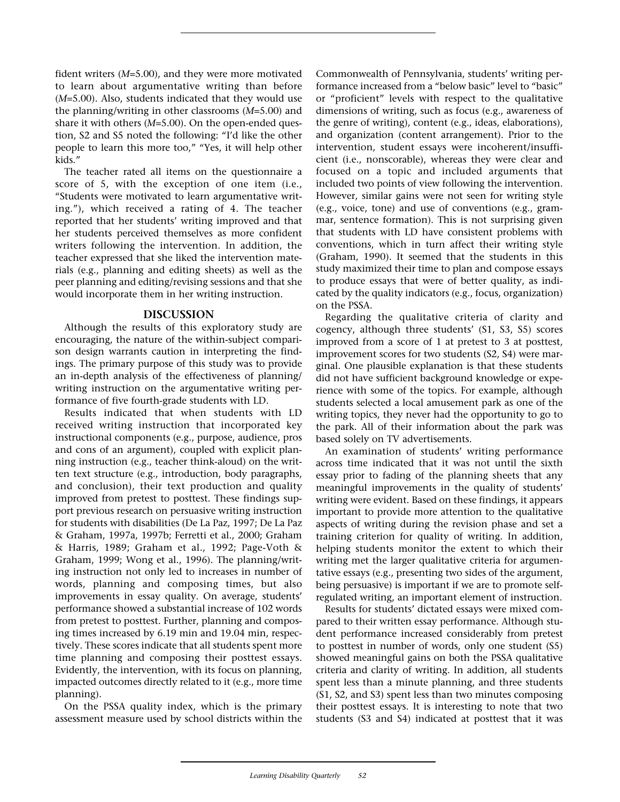fident writers (*M*=5.00), and they were more motivated to learn about argumentative writing than before (*M*=5.00). Also, students indicated that they would use the planning/writing in other classrooms (*M*=5.00) and share it with others (*M*=5.00). On the open-ended question, S2 and S5 noted the following: "I'd like the other people to learn this more too," "Yes, it will help other kids."

The teacher rated all items on the questionnaire a score of 5, with the exception of one item (i.e., "Students were motivated to learn argumentative writing."), which received a rating of 4. The teacher reported that her students' writing improved and that her students perceived themselves as more confident writers following the intervention. In addition, the teacher expressed that she liked the intervention materials (e.g., planning and editing sheets) as well as the peer planning and editing/revising sessions and that she would incorporate them in her writing instruction.

## **DISCUSSION**

Although the results of this exploratory study are encouraging, the nature of the within-subject comparison design warrants caution in interpreting the findings. The primary purpose of this study was to provide an in-depth analysis of the effectiveness of planning/ writing instruction on the argumentative writing performance of five fourth-grade students with LD.

Results indicated that when students with LD received writing instruction that incorporated key instructional components (e.g., purpose, audience, pros and cons of an argument), coupled with explicit planning instruction (e.g., teacher think-aloud) on the written text structure (e.g., introduction, body paragraphs, and conclusion), their text production and quality improved from pretest to posttest. These findings support previous research on persuasive writing instruction for students with disabilities (De La Paz, 1997; De La Paz & Graham, 1997a, 1997b; Ferretti et al., 2000; Graham & Harris, 1989; Graham et al., 1992; Page-Voth & Graham, 1999; Wong et al., 1996). The planning/writing instruction not only led to increases in number of words, planning and composing times, but also improvements in essay quality. On average, students' performance showed a substantial increase of 102 words from pretest to posttest. Further, planning and composing times increased by 6.19 min and 19.04 min, respectively. These scores indicate that all students spent more time planning and composing their posttest essays. Evidently, the intervention, with its focus on planning, impacted outcomes directly related to it (e.g., more time planning).

On the PSSA quality index, which is the primary assessment measure used by school districts within the Commonwealth of Pennsylvania, students' writing performance increased from a "below basic" level to "basic" or "proficient" levels with respect to the qualitative dimensions of writing, such as focus (e.g., awareness of the genre of writing), content (e.g., ideas, elaborations), and organization (content arrangement). Prior to the intervention, student essays were incoherent/insufficient (i.e., nonscorable), whereas they were clear and focused on a topic and included arguments that included two points of view following the intervention. However, similar gains were not seen for writing style (e.g., voice, tone) and use of conventions (e.g., grammar, sentence formation). This is not surprising given that students with LD have consistent problems with conventions, which in turn affect their writing style (Graham, 1990). It seemed that the students in this study maximized their time to plan and compose essays to produce essays that were of better quality, as indicated by the quality indicators (e.g., focus, organization) on the PSSA.

Regarding the qualitative criteria of clarity and cogency, although three students' (S1, S3, S5) scores improved from a score of 1 at pretest to 3 at posttest, improvement scores for two students (S2, S4) were marginal. One plausible explanation is that these students did not have sufficient background knowledge or experience with some of the topics. For example, although students selected a local amusement park as one of the writing topics, they never had the opportunity to go to the park. All of their information about the park was based solely on TV advertisements.

An examination of students' writing performance across time indicated that it was not until the sixth essay prior to fading of the planning sheets that any meaningful improvements in the quality of students' writing were evident. Based on these findings, it appears important to provide more attention to the qualitative aspects of writing during the revision phase and set a training criterion for quality of writing. In addition, helping students monitor the extent to which their writing met the larger qualitative criteria for argumentative essays (e.g., presenting two sides of the argument, being persuasive) is important if we are to promote selfregulated writing, an important element of instruction.

Results for students' dictated essays were mixed compared to their written essay performance. Although student performance increased considerably from pretest to posttest in number of words, only one student (S5) showed meaningful gains on both the PSSA qualitative criteria and clarity of writing. In addition, all students spent less than a minute planning, and three students (S1, S2, and S3) spent less than two minutes composing their posttest essays. It is interesting to note that two students (S3 and S4) indicated at posttest that it was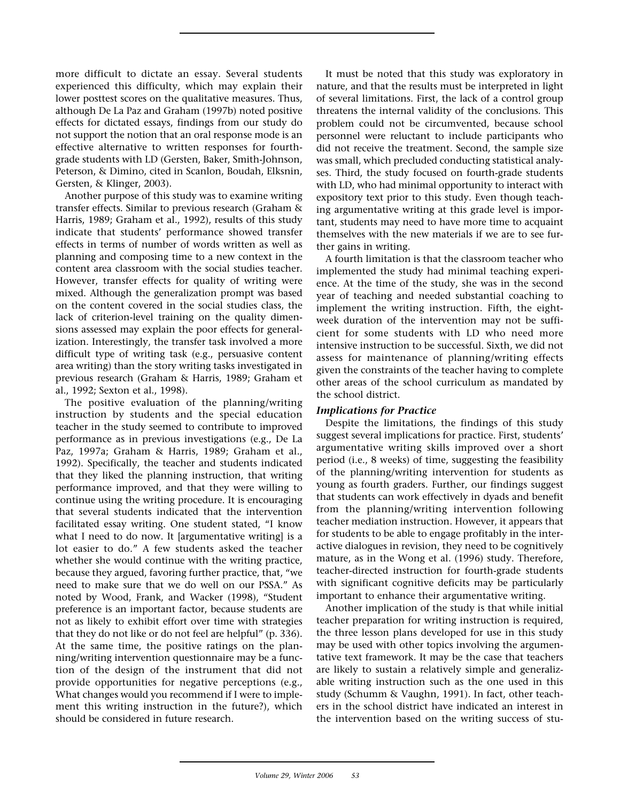more difficult to dictate an essay. Several students experienced this difficulty, which may explain their lower posttest scores on the qualitative measures. Thus, although De La Paz and Graham (1997b) noted positive effects for dictated essays, findings from our study do not support the notion that an oral response mode is an effective alternative to written responses for fourthgrade students with LD (Gersten, Baker, Smith-Johnson, Peterson, & Dimino, cited in Scanlon, Boudah, Elksnin, Gersten, & Klinger, 2003).

Another purpose of this study was to examine writing transfer effects. Similar to previous research (Graham & Harris, 1989; Graham et al., 1992), results of this study indicate that students' performance showed transfer effects in terms of number of words written as well as planning and composing time to a new context in the content area classroom with the social studies teacher. However, transfer effects for quality of writing were mixed. Although the generalization prompt was based on the content covered in the social studies class, the lack of criterion-level training on the quality dimensions assessed may explain the poor effects for generalization. Interestingly, the transfer task involved a more difficult type of writing task (e.g., persuasive content area writing) than the story writing tasks investigated in previous research (Graham & Harris, 1989; Graham et al., 1992; Sexton et al., 1998).

The positive evaluation of the planning/writing instruction by students and the special education teacher in the study seemed to contribute to improved performance as in previous investigations (e.g., De La Paz, 1997a; Graham & Harris, 1989; Graham et al., 1992). Specifically, the teacher and students indicated that they liked the planning instruction, that writing performance improved, and that they were willing to continue using the writing procedure. It is encouraging that several students indicated that the intervention facilitated essay writing. One student stated, "I know what I need to do now. It [argumentative writing] is a lot easier to do." A few students asked the teacher whether she would continue with the writing practice, because they argued, favoring further practice, that, "we need to make sure that we do well on our PSSA." As noted by Wood, Frank, and Wacker (1998), "Student preference is an important factor, because students are not as likely to exhibit effort over time with strategies that they do not like or do not feel are helpful" (p. 336). At the same time, the positive ratings on the planning/writing intervention questionnaire may be a function of the design of the instrument that did not provide opportunities for negative perceptions (e.g., What changes would you recommend if I were to implement this writing instruction in the future?), which should be considered in future research.

It must be noted that this study was exploratory in nature, and that the results must be interpreted in light of several limitations. First, the lack of a control group threatens the internal validity of the conclusions. This problem could not be circumvented, because school personnel were reluctant to include participants who did not receive the treatment. Second, the sample size was small, which precluded conducting statistical analyses. Third, the study focused on fourth-grade students with LD, who had minimal opportunity to interact with expository text prior to this study. Even though teaching argumentative writing at this grade level is important, students may need to have more time to acquaint themselves with the new materials if we are to see further gains in writing.

A fourth limitation is that the classroom teacher who implemented the study had minimal teaching experience. At the time of the study, she was in the second year of teaching and needed substantial coaching to implement the writing instruction. Fifth, the eightweek duration of the intervention may not be sufficient for some students with LD who need more intensive instruction to be successful. Sixth, we did not assess for maintenance of planning/writing effects given the constraints of the teacher having to complete other areas of the school curriculum as mandated by the school district.

## *Implications for Practice*

Despite the limitations, the findings of this study suggest several implications for practice. First, students' argumentative writing skills improved over a short period (i.e., 8 weeks) of time, suggesting the feasibility of the planning/writing intervention for students as young as fourth graders. Further, our findings suggest that students can work effectively in dyads and benefit from the planning/writing intervention following teacher mediation instruction. However, it appears that for students to be able to engage profitably in the interactive dialogues in revision, they need to be cognitively mature, as in the Wong et al. (1996) study. Therefore, teacher-directed instruction for fourth-grade students with significant cognitive deficits may be particularly important to enhance their argumentative writing.

Another implication of the study is that while initial teacher preparation for writing instruction is required, the three lesson plans developed for use in this study may be used with other topics involving the argumentative text framework. It may be the case that teachers are likely to sustain a relatively simple and generalizable writing instruction such as the one used in this study (Schumm & Vaughn, 1991). In fact, other teachers in the school district have indicated an interest in the intervention based on the writing success of stu